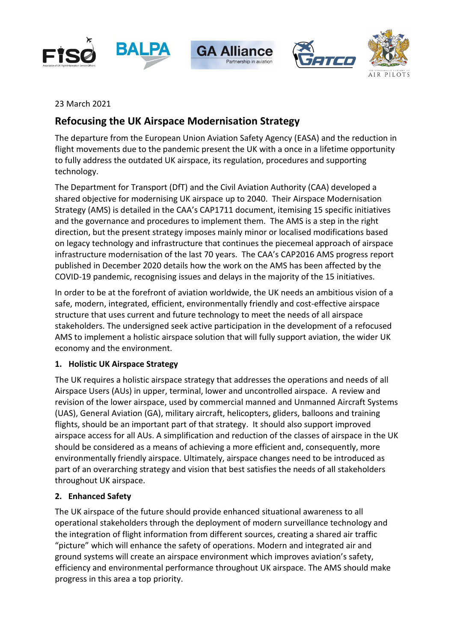







23 March 2021

# **Refocusing the UK Airspace Modernisation Strategy**

The departure from the European Union Aviation Safety Agency (EASA) and the reduction in flight movements due to the pandemic present the UK with a once in a lifetime opportunity to fully address the outdated UK airspace, its regulation, procedures and supporting technology.

The Department for Transport (DfT) and the Civil Aviation Authority (CAA) developed a shared objective for modernising UK airspace up to 2040. Their Airspace Modernisation Strategy (AMS) is detailed in the CAA's CAP1711 document, itemising 15 specific initiatives and the governance and procedures to implement them. The AMS is a step in the right direction, but the present strategy imposes mainly minor or localised modifications based on legacy technology and infrastructure that continues the piecemeal approach of airspace infrastructure modernisation of the last 70 years. The CAA's CAP2016 AMS progress report published in December 2020 details how the work on the AMS has been affected by the COVID-19 pandemic, recognising issues and delays in the majority of the 15 initiatives.

In order to be at the forefront of aviation worldwide, the UK needs an ambitious vision of a safe, modern, integrated, efficient, environmentally friendly and cost-effective airspace structure that uses current and future technology to meet the needs of all airspace stakeholders. The undersigned seek active participation in the development of a refocused AMS to implement a holistic airspace solution that will fully support aviation, the wider UK economy and the environment.

# **1. Holistic UK Airspace Strategy**

The UK requires a holistic airspace strategy that addresses the operations and needs of all Airspace Users (AUs) in upper, terminal, lower and uncontrolled airspace. A review and revision of the lower airspace, used by commercial manned and Unmanned Aircraft Systems (UAS), General Aviation (GA), military aircraft, helicopters, gliders, balloons and training flights, should be an important part of that strategy. It should also support improved airspace access for all AUs. A simplification and reduction of the classes of airspace in the UK should be considered as a means of achieving a more efficient and, consequently, more environmentally friendly airspace. Ultimately, airspace changes need to be introduced as part of an overarching strategy and vision that best satisfies the needs of all stakeholders throughout UK airspace.

# **2. Enhanced Safety**

The UK airspace of the future should provide enhanced situational awareness to all operational stakeholders through the deployment of modern surveillance technology and the integration of flight information from different sources, creating a shared air traffic "picture" which will enhance the safety of operations. Modern and integrated air and ground systems will create an airspace environment which improves aviation's safety, efficiency and environmental performance throughout UK airspace. The AMS should make progress in this area a top priority.